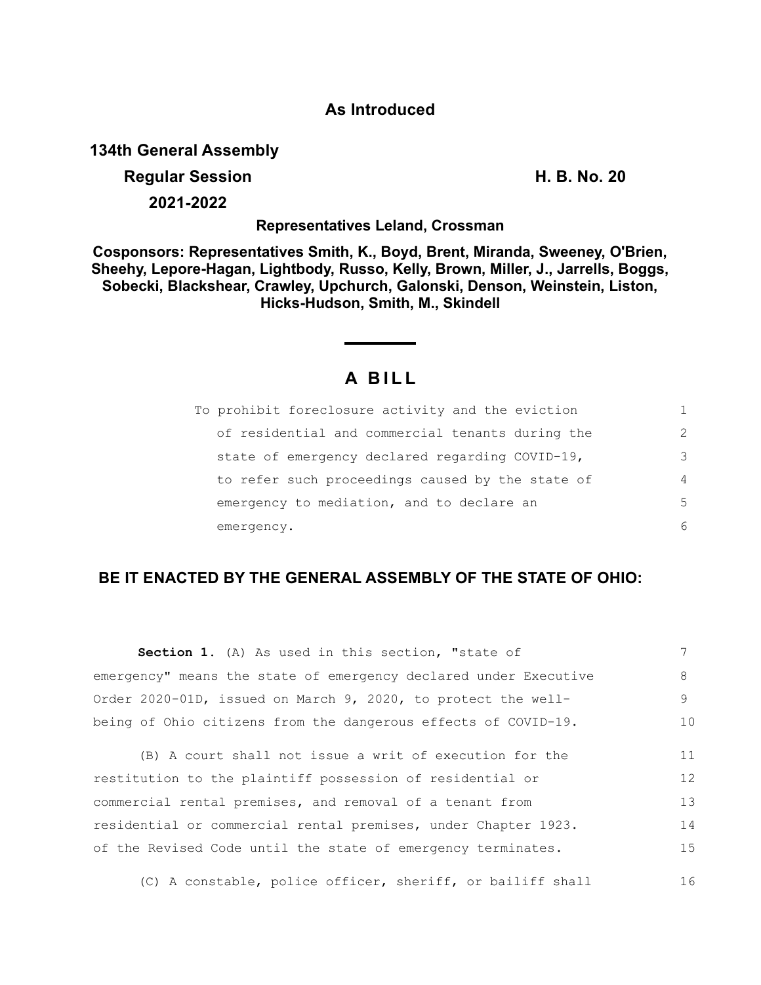### **As Introduced**

**134th General Assembly**

# **Regular Session H. B. No. 20**

**2021-2022**

## **Representatives Leland, Crossman**

**Cosponsors: Representatives Smith, K., Boyd, Brent, Miranda, Sweeney, O'Brien, Sheehy, Lepore-Hagan, Lightbody, Russo, Kelly, Brown, Miller, J., Jarrells, Boggs, Sobecki, Blackshear, Crawley, Upchurch, Galonski, Denson, Weinstein, Liston, Hicks-Hudson, Smith, M., Skindell**

# **A B I L L**

| To prohibit foreclosure activity and the eviction |                |
|---------------------------------------------------|----------------|
| of residential and commercial tenants during the  | $\mathcal{L}$  |
| state of emergency declared regarding COVID-19,   | 3              |
| to refer such proceedings caused by the state of  | $\overline{4}$ |
| emergency to mediation, and to declare an         | 5              |
| emergency.                                        | 6              |

# **BE IT ENACTED BY THE GENERAL ASSEMBLY OF THE STATE OF OHIO:**

| Section 1. (A) As used in this section, "state of                |    |
|------------------------------------------------------------------|----|
| emergency" means the state of emergency declared under Executive | 8. |
| Order 2020-01D, issued on March 9, 2020, to protect the well-    |    |
| being of Ohio citizens from the dangerous effects of COVID-19.   | 10 |

(B) A court shall not issue a writ of execution for the restitution to the plaintiff possession of residential or commercial rental premises, and removal of a tenant from residential or commercial rental premises, under Chapter 1923. of the Revised Code until the state of emergency terminates. 11 12 13 14 15

(C) A constable, police officer, sheriff, or bailiff shall 16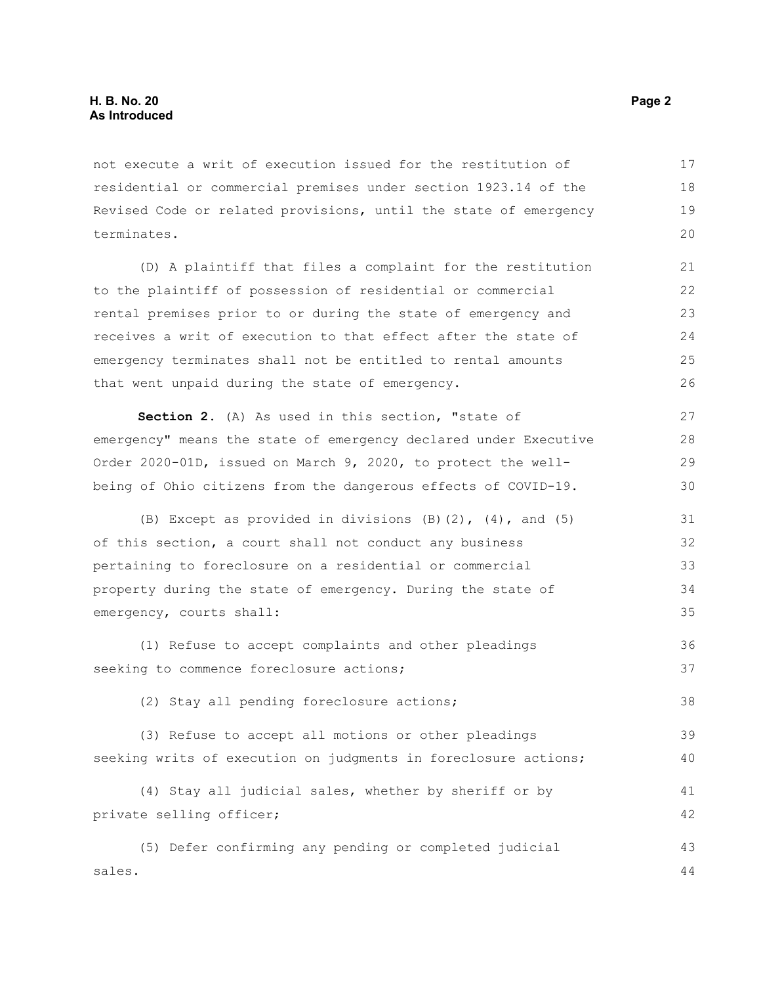not execute a writ of execution issued for the restitution of residential or commercial premises under section 1923.14 of the Revised Code or related provisions, until the state of emergency terminates. 17 18 19 20

(D) A plaintiff that files a complaint for the restitution to the plaintiff of possession of residential or commercial rental premises prior to or during the state of emergency and receives a writ of execution to that effect after the state of emergency terminates shall not be entitled to rental amounts that went unpaid during the state of emergency.

**Section 2.** (A) As used in this section, "state of emergency" means the state of emergency declared under Executive Order 2020-01D, issued on March 9, 2020, to protect the wellbeing of Ohio citizens from the dangerous effects of COVID-19. 27 28 29 30

(B) Except as provided in divisions  $(B)$   $(2)$ ,  $(4)$ , and  $(5)$ of this section, a court shall not conduct any business pertaining to foreclosure on a residential or commercial property during the state of emergency. During the state of emergency, courts shall: 31 32 33 34 35

(1) Refuse to accept complaints and other pleadings seeking to commence foreclosure actions; 36 37

(2) Stay all pending foreclosure actions;

(3) Refuse to accept all motions or other pleadings seeking writs of execution on judgments in foreclosure actions; 39 40

(4) Stay all judicial sales, whether by sheriff or by private selling officer; 41 42

(5) Defer confirming any pending or completed judicial sales. 43 44

38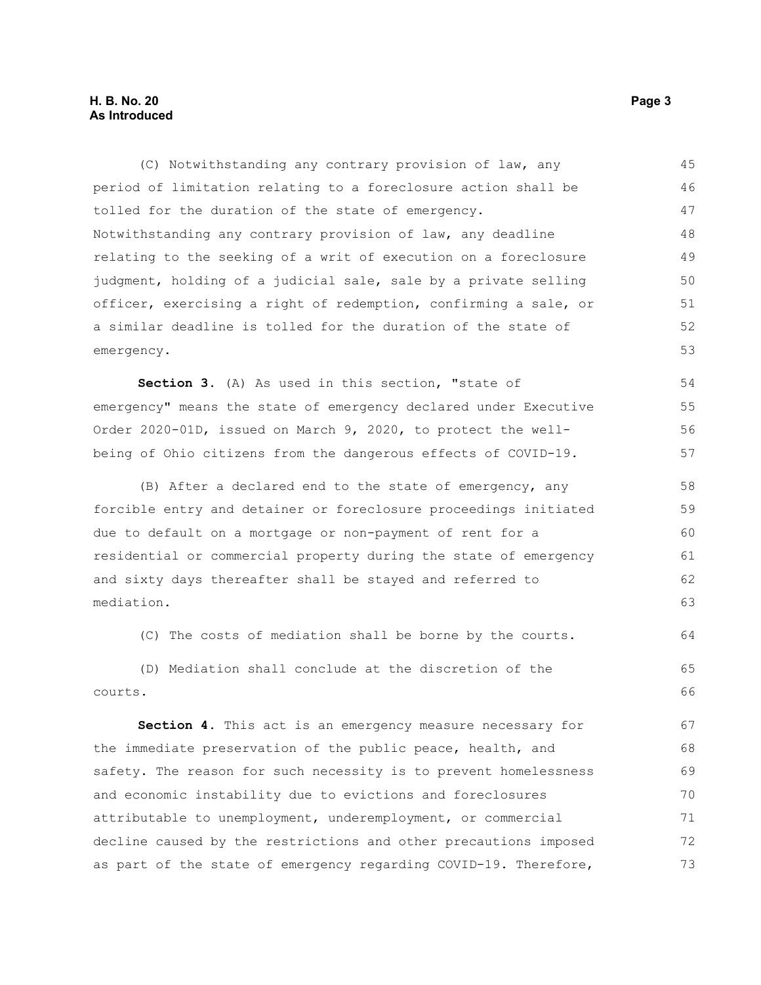#### **H. B. No. 20 Page 3 As Introduced**

(C) Notwithstanding any contrary provision of law, any period of limitation relating to a foreclosure action shall be tolled for the duration of the state of emergency. Notwithstanding any contrary provision of law, any deadline relating to the seeking of a writ of execution on a foreclosure judgment, holding of a judicial sale, sale by a private selling officer, exercising a right of redemption, confirming a sale, or a similar deadline is tolled for the duration of the state of emergency. **Section 3.** (A) As used in this section, "state of emergency" means the state of emergency declared under Executive Order 2020-01D, issued on March 9, 2020, to protect the well-45 46 47 48 49 50 51 52 53 54 55 56

(B) After a declared end to the state of emergency, any forcible entry and detainer or foreclosure proceedings initiated due to default on a mortgage or non-payment of rent for a residential or commercial property during the state of emergency and sixty days thereafter shall be stayed and referred to mediation.

being of Ohio citizens from the dangerous effects of COVID-19.

(C) The costs of mediation shall be borne by the courts.

(D) Mediation shall conclude at the discretion of the courts. 65 66

**Section 4.** This act is an emergency measure necessary for the immediate preservation of the public peace, health, and safety. The reason for such necessity is to prevent homelessness and economic instability due to evictions and foreclosures attributable to unemployment, underemployment, or commercial decline caused by the restrictions and other precautions imposed as part of the state of emergency regarding COVID-19. Therefore, 67 68 69 70 71 72 73

57

64